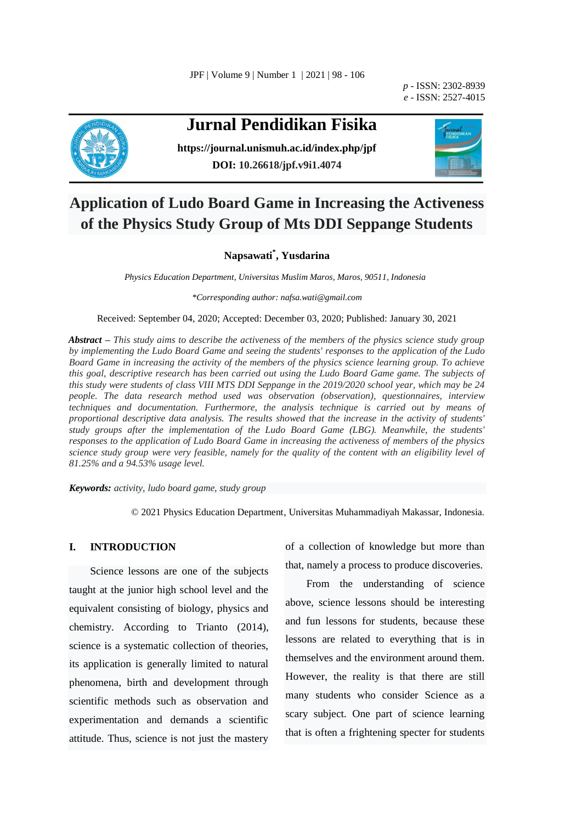JPF | Volume 9 | Number 1 | 2021 | 98 - 106

*p -* ISSN: 2302-8939 *e -* ISSN: 2527-4015



# **Jurnal Pendidikan Fisika**

**<https://journal.unismuh.ac.id/index.php/jpf> DOI: 10.26618/jpf.v9i1.4074**



## **Application of Ludo Board Game in Increasing the Activeness of the Physics Study Group of Mts DDI Seppange Students**

### **Napsawati\* , Yusdarina**

*Physics Education Department, Universitas Muslim Maros, Maros, 90511, Indonesia*

*\*Corresponding author: nafsa.wati@gmail.com*

Received: September 04, 2020; Accepted: December 03, 2020; Published: January 30, 2021

*Abstract – This study aims to describe the activeness of the members of the physics science study group by implementing the Ludo Board Game and seeing the students' responses to the application of the Ludo Board Game in increasing the activity of the members of the physics science learning group. To achieve this goal, descriptive research has been carried out using the Ludo Board Game game. The subjects of this study were students of class VIII MTS DDI Seppange in the 2019/2020 school year, which may be 24 people. The data research method used was observation (observation), questionnaires, interview techniques and documentation. Furthermore, the analysis technique is carried out by means of proportional descriptive data analysis. The results showed that the increase in the activity of students' study groups after the implementation of the Ludo Board Game (LBG). Meanwhile, the students' responses to the application of Ludo Board Game in increasing the activeness of members of the physics science study group were very feasible, namely for the quality of the content with an eligibility level of 81.25% and a 94.53% usage level.* 

*Keywords: activity, ludo board game, study group*

© 2021 Physics Education Department, Universitas Muhammadiyah Makassar, Indonesia.

#### **I. INTRODUCTION**

Science lessons are one of the subjects taught at the junior high school level and the equivalent consisting of biology, physics and chemistry. According to Trianto (2014), science is a systematic collection of theories, its application is generally limited to natural phenomena, birth and development through scientific methods such as observation and experimentation and demands a scientific attitude. Thus, science is not just the mastery of a collection of knowledge but more than that, namely a process to produce discoveries.

From the understanding of science above, science lessons should be interesting and fun lessons for students, because these lessons are related to everything that is in themselves and the environment around them. However, the reality is that there are still many students who consider Science as a scary subject. One part of science learning that is often a frightening specter for students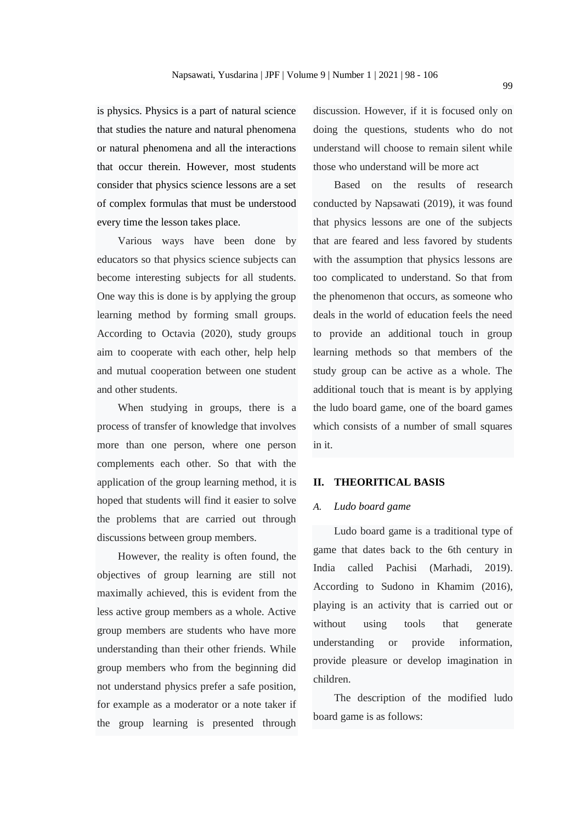is physics. Physics is a part of natural science that studies the nature and natural phenomena or natural phenomena and all the interactions that occur therein. However, most students consider that physics science lessons are a set of complex formulas that must be understood every time the lesson takes place.

Various ways have been done by educators so that physics science subjects can become interesting subjects for all students. One way this is done is by applying the group learning method by forming small groups. According to Octavia (2020), study groups aim to cooperate with each other, help help and mutual cooperation between one student and other students.

When studying in groups, there is a process of transfer of knowledge that involves more than one person, where one person complements each other. So that with the application of the group learning method, it is hoped that students will find it easier to solve the problems that are carried out through discussions between group members.

However, the reality is often found, the objectives of group learning are still not maximally achieved, this is evident from the less active group members as a whole. Active group members are students who have more understanding than their other friends. While group members who from the beginning did not understand physics prefer a safe position, for example as a moderator or a note taker if the group learning is presented through

discussion. However, if it is focused only on doing the questions, students who do not understand will choose to remain silent while those who understand will be more act

Based on the results of research conducted by Napsawati (2019), it was found that physics lessons are one of the subjects that are feared and less favored by students with the assumption that physics lessons are too complicated to understand. So that from the phenomenon that occurs, as someone who deals in the world of education feels the need to provide an additional touch in group learning methods so that members of the study group can be active as a whole. The additional touch that is meant is by applying the ludo board game, one of the board games which consists of a number of small squares in it.

#### **II. THEORITICAL BASIS**

#### *A. Ludo board game*

Ludo board game is a traditional type of game that dates back to the 6th century in India called Pachisi (Marhadi, 2019). According to Sudono in Khamim (2016), playing is an activity that is carried out or without using tools that generate understanding or provide information, provide pleasure or develop imagination in children.

The description of the modified ludo board game is as follows: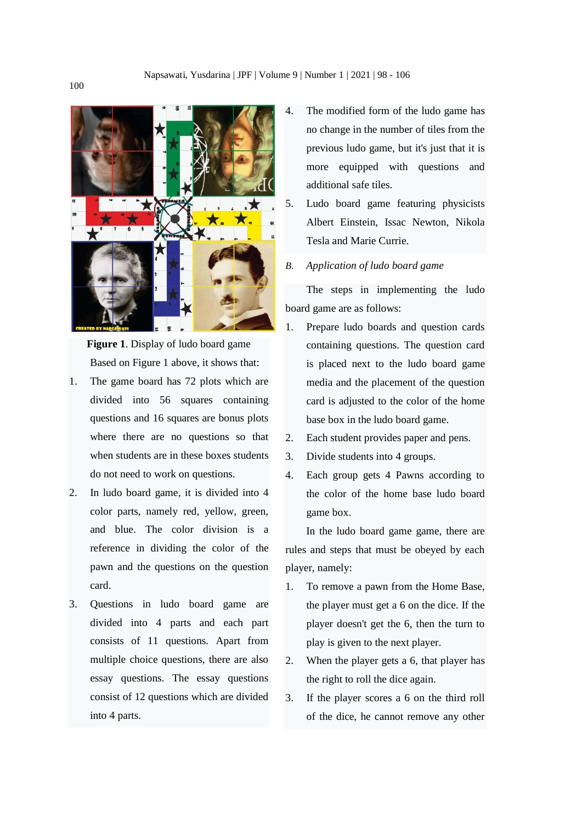

**Figure 1**. Display of ludo board game Based on Figure 1 above, it shows that:

- 1. The game board has 72 plots which are divided into 56 squares containing questions and 16 squares are bonus plots where there are no questions so that when students are in these boxes students do not need to work on questions.
- 2. In ludo board game, it is divided into 4 color parts, namely red, yellow, green, and blue. The color division is a reference in dividing the color of the pawn and the questions on the question card.
- 3. Questions in ludo board game are divided into 4 parts and each part consists of 11 questions. Apart from multiple choice questions, there are also essay questions. The essay questions consist of 12 questions which are divided into 4 parts.
- 4. The modified form of the ludo game has no change in the number of tiles from the previous ludo game, but it's just that it is more equipped with questions and additional safe tiles.
- 5. Ludo board game featuring physicists Albert Einstein, Issac Newton, Nikola Tesla and Marie Currie.
- *B. Application of ludo board game*

The steps in implementing the ludo board game are as follows:

- 1. Prepare ludo boards and question cards containing questions. The question card is placed next to the ludo board game media and the placement of the question card is adjusted to the color of the home base box in the ludo board game.
- 2. Each student provides paper and pens.
- 3. Divide students into 4 groups.
- 4. Each group gets 4 Pawns according to the color of the home base ludo board game box.

In the ludo board game game, there are rules and steps that must be obeyed by each player, namely:

- 1. To remove a pawn from the Home Base, the player must get a 6 on the dice. If the player doesn't get the 6, then the turn to play is given to the next player.
- 2. When the player gets a 6, that player has the right to roll the dice again.
- 3. If the player scores a 6 on the third roll of the dice, he cannot remove any other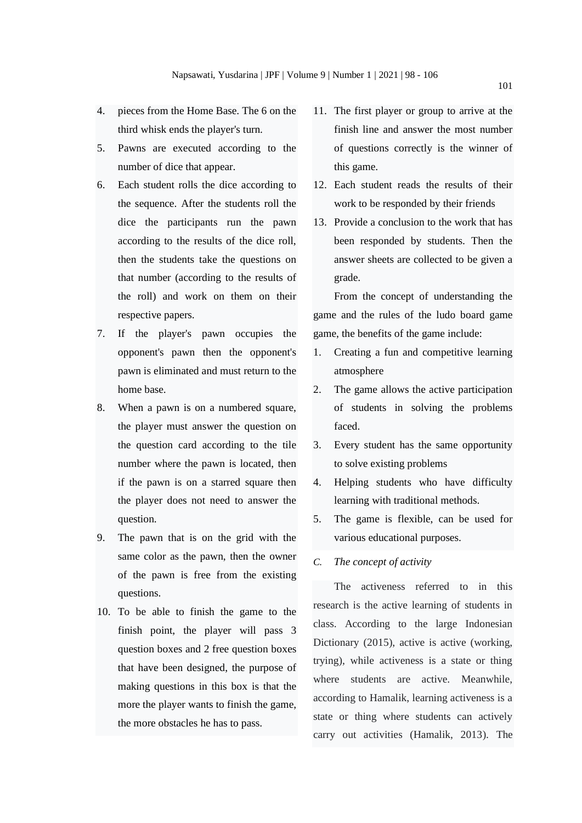- 4. pieces from the Home Base. The 6 on the third whisk ends the player's turn.
- 5. Pawns are executed according to the number of dice that appear.
- 6. Each student rolls the dice according to the sequence. After the students roll the dice the participants run the pawn according to the results of the dice roll, then the students take the questions on that number (according to the results of the roll) and work on them on their respective papers.
- 7. If the player's pawn occupies the opponent's pawn then the opponent's pawn is eliminated and must return to the home base.
- 8. When a pawn is on a numbered square, the player must answer the question on the question card according to the tile number where the pawn is located, then if the pawn is on a starred square then the player does not need to answer the question.
- 9. The pawn that is on the grid with the same color as the pawn, then the owner of the pawn is free from the existing questions.
- 10. To be able to finish the game to the finish point, the player will pass 3 question boxes and 2 free question boxes that have been designed, the purpose of making questions in this box is that the more the player wants to finish the game, the more obstacles he has to pass.
- 11. The first player or group to arrive at the finish line and answer the most number of questions correctly is the winner of this game.
- 12. Each student reads the results of their work to be responded by their friends
- 13. Provide a conclusion to the work that has been responded by students. Then the answer sheets are collected to be given a grade.

From the concept of understanding the game and the rules of the ludo board game game, the benefits of the game include:

- 1. Creating a fun and competitive learning atmosphere
- 2. The game allows the active participation of students in solving the problems faced.
- 3. Every student has the same opportunity to solve existing problems
- 4. Helping students who have difficulty learning with traditional methods.
- 5. The game is flexible, can be used for various educational purposes.
- *C. The concept of activity*

The activeness referred to in this research is the active learning of students in class. According to the large Indonesian Dictionary (2015), active is active (working, trying), while activeness is a state or thing where students are active. Meanwhile, according to Hamalik, learning activeness is a state or thing where students can actively carry out activities (Hamalik, 2013). The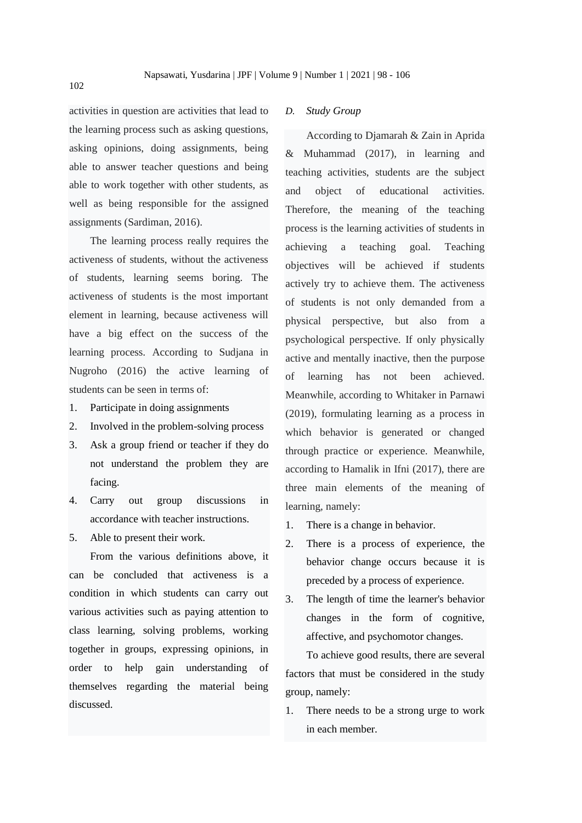activities in question are activities that lead to the learning process such as asking questions, asking opinions, doing assignments, being able to answer teacher questions and being able to work together with other students, as well as being responsible for the assigned assignments (Sardiman, 2016).

The learning process really requires the activeness of students, without the activeness of students, learning seems boring. The activeness of students is the most important element in learning, because activeness will have a big effect on the success of the learning process. According to Sudjana in Nugroho (2016) the active learning of students can be seen in terms of:

- 1. Participate in doing assignments
- 2. Involved in the problem-solving process
- 3. Ask a group friend or teacher if they do not understand the problem they are facing.
- 4. Carry out group discussions in accordance with teacher instructions.
- 5. Able to present their work.

From the various definitions above, it can be concluded that activeness is a condition in which students can carry out various activities such as paying attention to class learning, solving problems, working together in groups, expressing opinions, in order to help gain understanding of themselves regarding the material being discussed.

#### *D. Study Group*

According to Djamarah & Zain in Aprida & Muhammad (2017), in learning and teaching activities, students are the subject and object of educational activities. Therefore, the meaning of the teaching process is the learning activities of students in achieving a teaching goal. Teaching objectives will be achieved if students actively try to achieve them. The activeness of students is not only demanded from a physical perspective, but also from a psychological perspective. If only physically active and mentally inactive, then the purpose of learning has not been achieved. Meanwhile, according to Whitaker in Parnawi (2019), formulating learning as a process in which behavior is generated or changed through practice or experience. Meanwhile, according to Hamalik in Ifni (2017), there are three main elements of the meaning of learning, namely:

- 1. There is a change in behavior.
- 2. There is a process of experience, the behavior change occurs because it is preceded by a process of experience.
- 3. The length of time the learner's behavior changes in the form of cognitive, affective, and psychomotor changes.

To achieve good results, there are several factors that must be considered in the study group, namely:

1. There needs to be a strong urge to work in each member.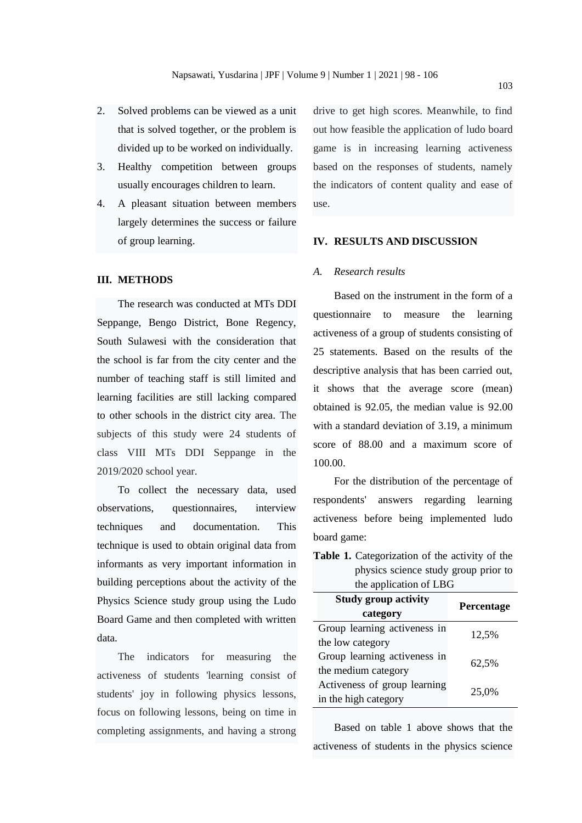- 2. Solved problems can be viewed as a unit that is solved together, or the problem is divided up to be worked on individually.
- 3. Healthy competition between groups usually encourages children to learn.
- 4. A pleasant situation between members largely determines the success or failure of group learning.

#### **III. METHODS**

The research was conducted at MTs DDI Seppange, Bengo District, Bone Regency, South Sulawesi with the consideration that the school is far from the city center and the number of teaching staff is still limited and learning facilities are still lacking compared to other schools in the district city area. The subjects of this study were 24 students of class VIII MTs DDI Seppange in the 2019/2020 school year.

To collect the necessary data, used observations, questionnaires, interview techniques and documentation. This technique is used to obtain original data from informants as very important information in building perceptions about the activity of the Physics Science study group using the Ludo Board Game and then completed with written data.

The indicators for measuring the activeness of students 'learning consist of students' joy in following physics lessons, focus on following lessons, being on time in completing assignments, and having a strong

drive to get high scores. Meanwhile, to find out how feasible the application of ludo board game is in increasing learning activeness based on the responses of students, namely the indicators of content quality and ease of use.

#### **IV. RESULTS AND DISCUSSION**

#### *A. Research results*

Based on the instrument in the form of a questionnaire to measure the learning activeness of a group of students consisting of 25 statements. Based on the results of the descriptive analysis that has been carried out, it shows that the average score (mean) obtained is 92.05, the median value is 92.00 with a standard deviation of 3.19, a minimum score of 88.00 and a maximum score of 100.00.

For the distribution of the percentage of respondents' answers regarding learning activeness before being implemented ludo board game:

**Table 1.** Categorization of the activity of the physics science study group prior to the application of LBG

| <b>Study group activity</b>  | Percentage |
|------------------------------|------------|
| category                     |            |
| Group learning activeness in | 12,5%      |
| the low category             |            |
| Group learning activeness in | 62,5%      |
| the medium category          |            |
| Activeness of group learning | 25,0%      |
| in the high category         |            |

Based on table 1 above shows that the activeness of students in the physics science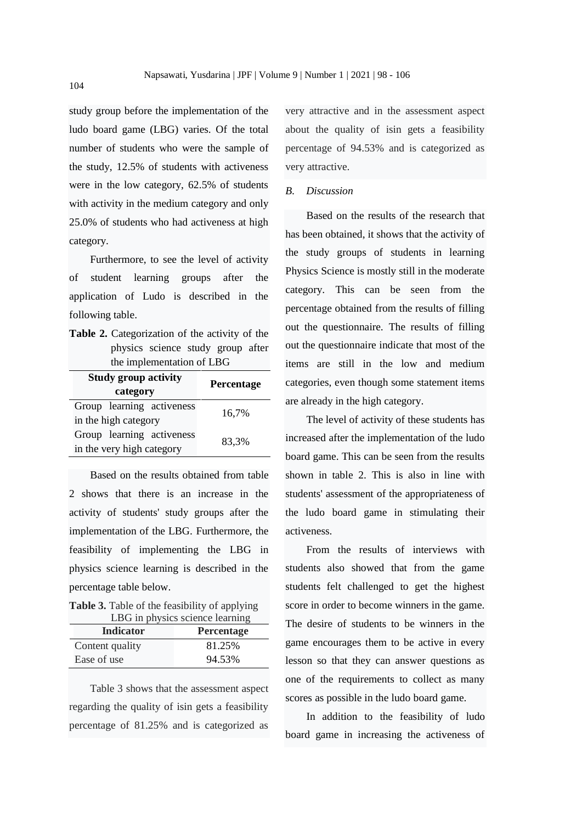study group before the implementation of the ludo board game (LBG) varies. Of the total number of students who were the sample of the study, 12.5% of students with activeness were in the low category, 62.5% of students with activity in the medium category and only 25.0% of students who had activeness at high category.

Furthermore, to see the level of activity of student learning groups after the application of Ludo is described in the following table.

**Table 2.** Categorization of the activity of the physics science study group after the implementation of LBG

| <b>Study group activity</b><br>category | Percentage |
|-----------------------------------------|------------|
| Group learning activeness               |            |
| in the high category                    | 16,7%      |
| Group learning activeness               | 83.3%      |
| in the very high category               |            |

Based on the results obtained from table 2 shows that there is an increase in the activity of students' study groups after the implementation of the LBG. Furthermore, the feasibility of implementing the LBG in physics science learning is described in the percentage table below.

**Table 3.** Table of the feasibility of applying LBG in physics science learning

| Indicator       | <b>Percentage</b> |
|-----------------|-------------------|
| Content quality | 81.25%            |
| Ease of use     | 94.53%            |

Table 3 shows that the assessment aspect regarding the quality of isin gets a feasibility percentage of 81.25% and is categorized as

very attractive and in the assessment aspect about the quality of isin gets a feasibility percentage of 94.53% and is categorized as very attractive.

#### *B. Discussion*

Based on the results of the research that has been obtained, it shows that the activity of the study groups of students in learning Physics Science is mostly still in the moderate category. This can be seen from the percentage obtained from the results of filling out the questionnaire. The results of filling out the questionnaire indicate that most of the items are still in the low and medium categories, even though some statement items are already in the high category.

The level of activity of these students has increased after the implementation of the ludo board game. This can be seen from the results shown in table 2. This is also in line with students' assessment of the appropriateness of the ludo board game in stimulating their activeness.

From the results of interviews with students also showed that from the game students felt challenged to get the highest score in order to become winners in the game. The desire of students to be winners in the game encourages them to be active in every lesson so that they can answer questions as one of the requirements to collect as many scores as possible in the ludo board game.

In addition to the feasibility of ludo board game in increasing the activeness of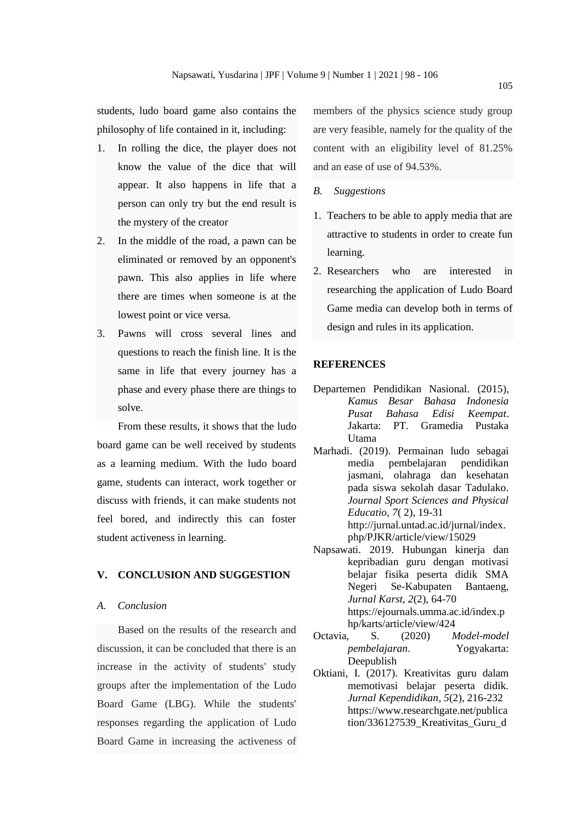students, ludo board game also contains the philosophy of life contained in it, including:

- 1. In rolling the dice, the player does not know the value of the dice that will appear. It also happens in life that a person can only try but the end result is the mystery of the creator
- 2. In the middle of the road, a pawn can be eliminated or removed by an opponent's pawn. This also applies in life where there are times when someone is at the lowest point or vice versa.
- 3. Pawns will cross several lines and questions to reach the finish line. It is the same in life that every journey has a phase and every phase there are things to solve.

From these results, it shows that the ludo board game can be well received by students as a learning medium. With the ludo board game, students can interact, work together or discuss with friends, it can make students not feel bored, and indirectly this can foster student activeness in learning.

#### **V. CONCLUSION AND SUGGESTION**

#### *A. Conclusion*

Based on the results of the research and discussion, it can be concluded that there is an increase in the activity of students' study groups after the implementation of the Ludo Board Game (LBG). While the students' responses regarding the application of Ludo Board Game in increasing the activeness of members of the physics science study group are very feasible, namely for the quality of the content with an eligibility level of 81.25% and an ease of use of 94.53%.

- *B. Suggestions*
- 1. Teachers to be able to apply media that are attractive to students in order to create fun learning.
- 2. Researchers who are interested in researching the application of Ludo Board Game media can develop both in terms of design and rules in its application.

#### **REFERENCES**

- Departemen Pendidikan Nasional. (2015), *Kamus Besar Bahasa Indonesia Pusat Bahasa Edisi Keempat*. Jakarta: PT. Gramedia Pustaka Utama
- Marhadi. (2019). Permainan ludo sebagai media pembelajaran pendidikan jasmani, olahraga dan kesehatan pada siswa sekolah dasar Tadulako. *Journal Sport Sciences and Physical Educatio, 7*( 2), 19-31 http://jurnal.untad.ac.id/jurnal/index. php/PJKR/article/view/15029
- Napsawati. 2019. Hubungan kinerja dan kepribadian guru dengan motivasi belajar fisika peserta didik SMA Negeri Se-Kabupaten Bantaeng, *Jurnal Karst*, *2*(2), 64-70 https://ejournals.umma.ac.id/index.p hp/karts/article/view/424
- Octavia, S. (2020) *Model-model pembelajaran*. Yogyakarta: Deepublish
- Oktiani, I. (2017). Kreativitas guru dalam memotivasi belajar peserta didik. *Jurnal Kependidikan, 5*(2), 216-232 https://www.researchgate.net/publica tion/336127539\_Kreativitas\_Guru\_d